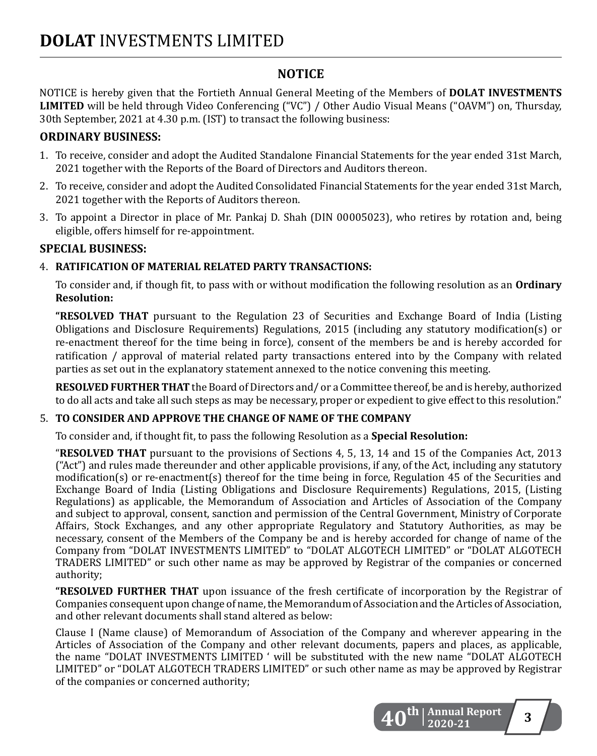# **NOTICE**

NOTICE is hereby given that the Fortieth Annual General Meeting of the Members of **DOLAT INVESTMENTS LIMITED** will be held through Video Conferencing ("VC") / Other Audio Visual Means ("OAVM") on, Thursday, 30th September, 2021 at 4.30 p.m. (IST) to transact the following business:

### **ORDINARY BUSINESS:**

- 1. To receive, consider and adopt the Audited Standalone Financial Statements for the year ended 31st March, 2021 together with the Reports of the Board of Directors and Auditors thereon.
- 2. To receive, consider and adopt the Audited Consolidated Financial Statements for the year ended 31st March, 2021 together with the Reports of Auditors thereon.
- 3. To appoint a Director in place of Mr. Pankaj D. Shah (DIN 00005023), who retires by rotation and, being eligible, offers himself for re-appointment.

## **SPECIAL BUSINESS:**

## 4. **RATIFICATION OF MATERIAL RELATED PARTY TRANSACTIONS:**

To consider and, if though fit, to pass with or without modification the following resolution as an **Ordinary Resolution:**

**"RESOLVED THAT** pursuant to the Regulation 23 of Securities and Exchange Board of India (Listing Obligations and Disclosure Requirements) Regulations, 2015 (including any statutory modification(s) or re-enactment thereof for the time being in force), consent of the members be and is hereby accorded for ratification / approval of material related party transactions entered into by the Company with related parties as set out in the explanatory statement annexed to the notice convening this meeting.

**RESOLVED FURTHER THAT** the Board of Directors and/ or a Committee thereof, be and is hereby, authorized to do all acts and take all such steps as may be necessary, proper or expedient to give effect to this resolution."

### 5. **TO CONSIDER AND APPROVE THE CHANGE OF NAME OF THE COMPANY**

To consider and, if thought fit, to pass the following Resolution as a **Special Resolution:**

"**RESOLVED THAT** pursuant to the provisions of Sections 4, 5, 13, 14 and 15 of the Companies Act, 2013 ("Act") and rules made thereunder and other applicable provisions, if any, of the Act, including any statutory modification(s) or re-enactment(s) thereof for the time being in force, Regulation 45 of the Securities and Exchange Board of India (Listing Obligations and Disclosure Requirements) Regulations, 2015, (Listing Regulations) as applicable, the Memorandum of Association and Articles of Association of the Company and subject to approval, consent, sanction and permission of the Central Government, Ministry of Corporate Affairs, Stock Exchanges, and any other appropriate Regulatory and Statutory Authorities, as may be necessary, consent of the Members of the Company be and is hereby accorded for change of name of the Company from "DOLAT INVESTMENTS LIMITED" to "DOLAT ALGOTECH LIMITED" or "DOLAT ALGOTECH TRADERS LIMITED" or such other name as may be approved by Registrar of the companies or concerned authority;

**"RESOLVED FURTHER THAT** upon issuance of the fresh certificate of incorporation by the Registrar of Companies consequent upon change of name, the Memorandum of Association and the Articles of Association, and other relevant documents shall stand altered as below:

Clause I (Name clause) of Memorandum of Association of the Company and wherever appearing in the Articles of Association of the Company and other relevant documents, papers and places, as applicable, the name "DOLAT INVESTMENTS LIMITED ' will be substituted with the new name "DOLAT ALGOTECH LIMITED" or "DOLAT ALGOTECH TRADERS LIMITED" or such other name as may be approved by Registrar of the companies or concerned authority;

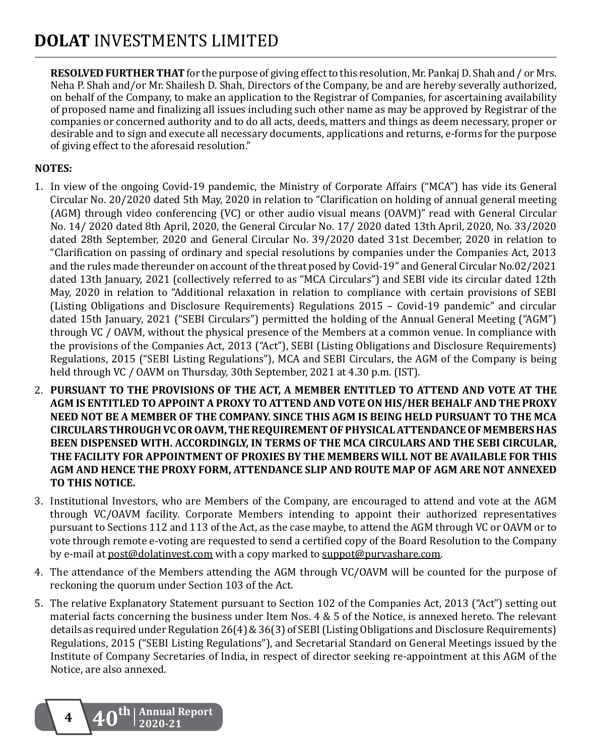**RESOLVED FURTHER THAT** for the purpose of giving effect to this resolution, Mr. Pankaj D. Shah and / or Mrs. Neha P. Shah and/or Mr. Shailesh D. Shah, Directors of the Company, be and are hereby severally authorized, on behalf of the Company, to make an application to the Registrar of Companies, for ascertaining availability of proposed name and finalizing all issues including such other name as may be approved by Registrar of the companies or concerned authority and to do all acts, deeds, matters and things as deem necessary, proper or desirable and to sign and execute all necessary documents, applications and returns, e-forms for the purpose of giving effect to the aforesaid resolution."

### **NOTES:**

- 1. In view of the ongoing Covid-19 pandemic, the Ministry of Corporate Affairs ("MCA") has vide its General Circular No. 20/2020 dated 5th May, 2020 in relation to "Clarification on holding of annual general meeting (AGM) through video conferencing (VC) or other audio visual means (OAVM)" read with General Circular No. 14/ 2020 dated 8th April, 2020, the General Circular No. 17/ 2020 dated 13th April, 2020, No. 33/2020 dated 28th September, 2020 and General Circular No. 39/2020 dated 31st December, 2020 in relation to "Clarification on passing of ordinary and special resolutions by companies under the Companies Act, 2013 and the rules made thereunder on account of the threat posed by Covid-19" and General Circular No.02/2021 dated 13th January, 2021 (collectively referred to as "MCA Circulars") and SEBI vide its circular dated 12th May, 2020 in relation to "Additional relaxation in relation to compliance with certain provisions of SEBI (Listing Obligations and Disclosure Requirements) Regulations 2015 – Covid-19 pandemic" and circular dated 15th January, 2021 ("SEBI Circulars") permitted the holding of the Annual General Meeting ("AGM") through VC / OAVM, without the physical presence of the Members at a common venue. In compliance with the provisions of the Companies Act, 2013 ("Act"), SEBI (Listing Obligations and Disclosure Requirements) Regulations, 2015 ("SEBI Listing Regulations"), MCA and SEBI Circulars, the AGM of the Company is being held through VC / OAVM on Thursday, 30th September, 2021 at 4.30 p.m. (IST).
- 2. **PURSUANT TO THE PROVISIONS OF THE ACT, A MEMBER ENTITLED TO ATTEND AND VOTE AT THE AGM IS ENTITLED TO APPOINT A PROXY TO ATTEND AND VOTE ON HIS/HER BEHALF AND THE PROXY NEED NOT BE A MEMBER OF THE COMPANY. SINCE THIS AGM IS BEING HELD PURSUANT TO THE MCA CIRCULARS THROUGH VC OR OAVM, THE REQUIREMENT OF PHYSICAL ATTENDANCE OF MEMBERS HAS BEEN DISPENSED WITH. ACCORDINGLY, IN TERMS OF THE MCA CIRCULARS AND THE SEBI CIRCULAR, THE FACILITY FOR APPOINTMENT OF PROXIES BY THE MEMBERS WILL NOT BE AVAILABLE FOR THIS AGM AND HENCE THE PROXY FORM, ATTENDANCE SLIP AND ROUTE MAP OF AGM ARE NOT ANNEXED TO THIS NOTICE.**
- 3. Institutional Investors, who are Members of the Company, are encouraged to attend and vote at the AGM through VC/OAVM facility. Corporate Members intending to appoint their authorized representatives pursuant to Sections 112 and 113 of the Act, as the case maybe, to attend the AGM through VC or OAVM or to vote through remote e-voting are requested to send a certified copy of the Board Resolution to the Company by e-mail at post@dolatinvest.com with a copy marked to suppot@purvashare.com.
- 4. The attendance of the Members attending the AGM through VC/OAVM will be counted for the purpose of reckoning the quorum under Section 103 of the Act.
- 5. The relative Explanatory Statement pursuant to Section 102 of the Companies Act, 2013 ("Act") setting out material facts concerning the business under Item Nos.  $4 \& 5$  of the Notice, is annexed hereto. The relevant details as required under Regulation  $26(4)$  &  $36(3)$  of SEBI (Listing Obligations and Disclosure Requirements) Regulations, 2015 ("SEBI Listing Regulations"), and Secretarial Standard on General Meetings issued by the Institute of Company Secretaries of India, in respect of director seeking re-appointment at this AGM of the Notice, are also annexed.

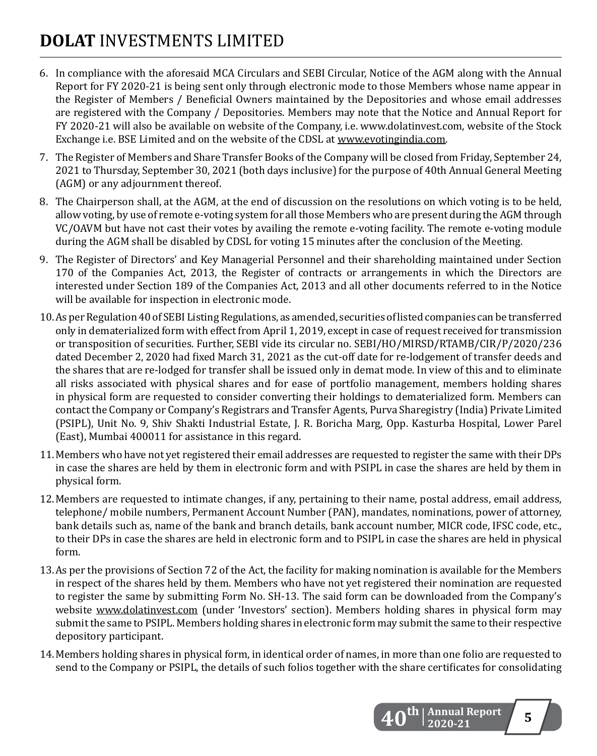- 6. In compliance with the aforesaid MCA Circulars and SEBI Circular, Notice of the AGM along with the Annual Report for FY 2020-21 is being sent only through electronic mode to those Members whose name appear in the Register of Members / Beneficial Owners maintained by the Depositories and whose email addresses are registered with the Company / Depositories. Members may note that the Notice and Annual Report for FY 2020-21 will also be available on website of the Company, i.e. www.dolatinvest.com, website of the Stock Exchange i.e. BSE Limited and on the website of the CDSL at www.evotingindia.com.
- 7. The Register of Members and Share Transfer Books of the Company will be closed from Friday, September 24, 2021 to Thursday, September 30, 2021 (both days inclusive) for the purpose of 40th Annual General Meeting (AGM) or any adjournment thereof.
- 8. The Chairperson shall, at the AGM, at the end of discussion on the resolutions on which voting is to be held, allow voting, by use of remote e-voting system for all those Members who are present during the AGM through VC/OAVM but have not cast their votes by availing the remote e-voting facility. The remote e-voting module during the AGM shall be disabled by CDSL for voting 15 minutes after the conclusion of the Meeting.
- 9. The Register of Directors' and Key Managerial Personnel and their shareholding maintained under Section 170 of the Companies Act, 2013, the Register of contracts or arrangements in which the Directors are interested under Section 189 of the Companies Act, 2013 and all other documents referred to in the Notice will be available for inspection in electronic mode.
- 10. As per Regulation 40 of SEBI Listing Regulations, as amended, securities of listed companies can be transferred only in dematerialized form with effect from April 1, 2019, except in case of request received for transmission or transposition of securities. Further, SEBI vide its circular no. SEBI/HO/MIRSD/RTAMB/CIR/P/2020/236 dated December 2, 2020 had fixed March 31, 2021 as the cut-off date for re-lodgement of transfer deeds and the shares that are re-lodged for transfer shall be issued only in demat mode. In view of this and to eliminate all risks associated with physical shares and for ease of portfolio management, members holding shares in physical form are requested to consider converting their holdings to dematerialized form. Members can contact the Company or Company's Registrars and Transfer Agents, Purva Sharegistry (India) Private Limited (PSIPL), Unit No. 9, Shiv Shakti Industrial Estate, J. R. Boricha Marg, Opp. Kasturba Hospital, Lower Parel (East), Mumbai 400011 for assistance in this regard.
- 11. Members who have not yet registered their email addresses are requested to register the same with their DPs in case the shares are held by them in electronic form and with PSIPL in case the shares are held by them in physical form.
- 12. Members are requested to intimate changes, if any, pertaining to their name, postal address, email address, telephone/ mobile numbers, Permanent Account Number (PAN), mandates, nominations, power of attorney, bank details such as, name of the bank and branch details, bank account number, MICR code, IFSC code, etc., to their DPs in case the shares are held in electronic form and to PSIPL in case the shares are held in physical form.
- 13. As per the provisions of Section 72 of the Act, the facility for making nomination is available for the Members in respect of the shares held by them. Members who have not yet registered their nomination are requested to register the same by submitting Form No. SH-13. The said form can be downloaded from the Company's website www.dolatinvest.com (under 'Investors' section). Members holding shares in physical form may submit the same to PSIPL. Members holding shares in electronic form may submit the same to their respective depository participant.
- 14. Members holding shares in physical form, in identical order of names, in more than one folio are requested to send to the Company or PSIPL, the details of such folios together with the share certificates for consolidating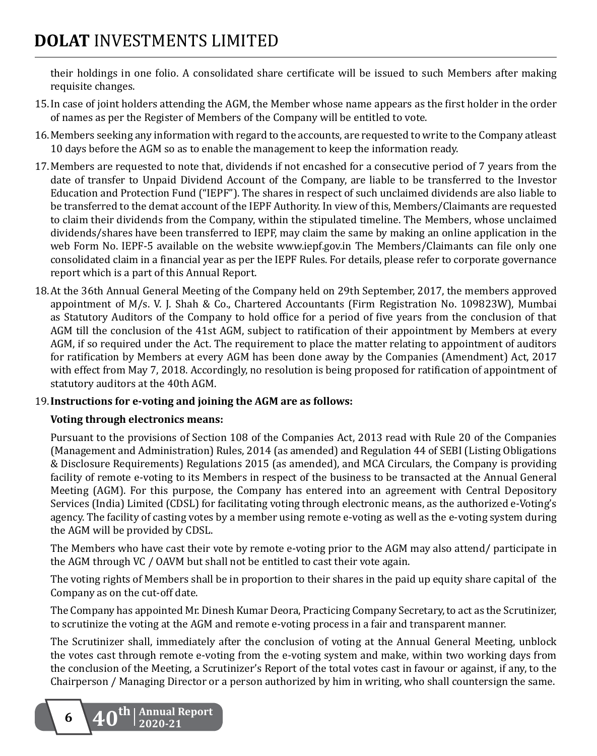their holdings in one folio. A consolidated share certificate will be issued to such Members after making requisite changes.

- 15. In case of joint holders attending the AGM, the Member whose name appears as the first holder in the order of names as per the Register of Members of the Company will be entitled to vote.
- 16. Members seeking any information with regard to the accounts, are requested to write to the Company atleast 10 days before the AGM so as to enable the management to keep the information ready.
- 17. Members are requested to note that, dividends if not encashed for a consecutive period of 7 years from the date of transfer to Unpaid Dividend Account of the Company, are liable to be transferred to the Investor Education and Protection Fund ("IEPF"). The shares in respect of such unclaimed dividends are also liable to be transferred to the demat account of the IEPF Authority. In view of this, Members/Claimants are requested to claim their dividends from the Company, within the stipulated timeline. The Members, whose unclaimed dividends/shares have been transferred to IEPF, may claim the same by making an online application in the web Form No. IEPF-5 available on the website www.iepf.gov.in The Members/Claimants can file only one consolidated claim in a financial year as per the IEPF Rules. For details, please refer to corporate governance report which is a part of this Annual Report.
- 18. At the 36th Annual General Meeting of the Company held on 29th September, 2017, the members approved appointment of M/s. V. J. Shah & Co., Chartered Accountants (Firm Registration No. 109823W), Mumbai as Statutory Auditors of the Company to hold office for a period of five years from the conclusion of that AGM till the conclusion of the 41st AGM, subject to ratification of their appointment by Members at every AGM, if so required under the Act. The requirement to place the matter relating to appointment of auditors for ratification by Members at every AGM has been done away by the Companies (Amendment) Act, 2017 with effect from May 7, 2018. Accordingly, no resolution is being proposed for ratification of appointment of statutory auditors at the 40th AGM.

### 19. **Instructions for e-voting and joining the AGM are as follows:**

#### **Voting through electronics means:**

Pursuant to the provisions of Section 108 of the Companies Act, 2013 read with Rule 20 of the Companies (Management and Administration) Rules, 2014 (as amended) and Regulation 44 of SEBI (Listing Obligations & Disclosure Requirements) Regulations 2015 (as amended), and MCA Circulars, the Company is providing facility of remote e-voting to its Members in respect of the business to be transacted at the Annual General Meeting (AGM). For this purpose, the Company has entered into an agreement with Central Depository Services (India) Limited (CDSL) for facilitating voting through electronic means, as the authorized e-Voting's agency. The facility of casting votes by a member using remote e-voting as well as the e-voting system during the AGM will be provided by CDSL.

The Members who have cast their vote by remote e-voting prior to the AGM may also attend/ participate in the AGM through VC / OAVM but shall not be entitled to cast their vote again.

The voting rights of Members shall be in proportion to their shares in the paid up equity share capital of the Company as on the cut-off date.

The Company has appointed Mr. Dinesh Kumar Deora, Practicing Company Secretary, to act as the Scrutinizer, to scrutinize the voting at the AGM and remote e-voting process in a fair and transparent manner.

The Scrutinizer shall, immediately after the conclusion of voting at the Annual General Meeting, unblock the votes cast through remote e-voting from the e-voting system and make, within two working days from the conclusion of the Meeting, a Scrutinizer's Report of the total votes cast in favour or against, if any, to the Chairperson / Managing Director or a person authorized by him in writing, who shall countersign the same.

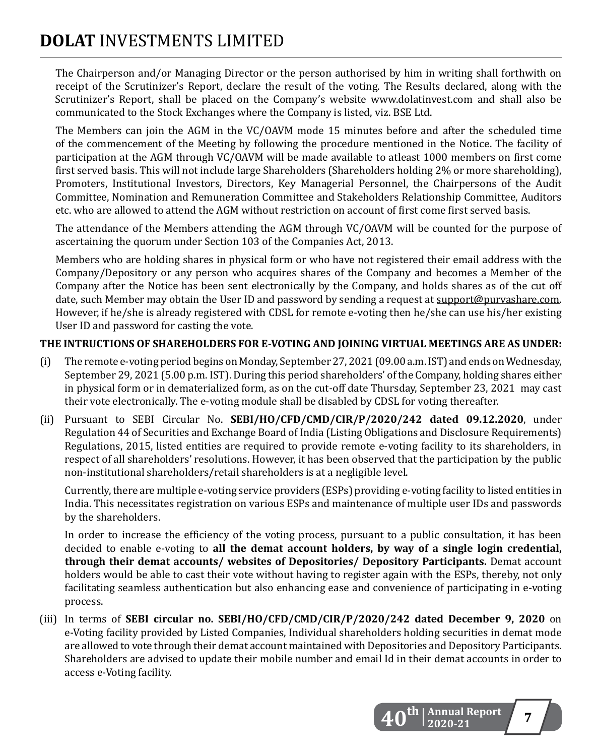The Chairperson and/or Managing Director or the person authorised by him in writing shall forthwith on receipt of the Scrutinizer's Report, declare the result of the voting. The Results declared, along with the Scrutinizer's Report, shall be placed on the Company's website www.dolatinvest.com and shall also be communicated to the Stock Exchanges where the Company is listed, viz. BSE Ltd.

The Members can join the AGM in the VC/OAVM mode 15 minutes before and after the scheduled time of the commencement of the Meeting by following the procedure mentioned in the Notice. The facility of participation at the AGM through VC/OAVM will be made available to atleast 1000 members on first come first served basis. This will not include large Shareholders (Shareholders holding 2% or more shareholding), Promoters, Institutional Investors, Directors, Key Managerial Personnel, the Chairpersons of the Audit Committee, Nomination and Remuneration Committee and Stakeholders Relationship Committee, Auditors etc. who are allowed to attend the AGM without restriction on account of first come first served basis.

The attendance of the Members attending the AGM through VC/OAVM will be counted for the purpose of ascertaining the quorum under Section 103 of the Companies Act, 2013.

Members who are holding shares in physical form or who have not registered their email address with the Company/Depository or any person who acquires shares of the Company and becomes a Member of the Company after the Notice has been sent electronically by the Company, and holds shares as of the cut off date, such Member may obtain the User ID and password by sending a request at support@purvashare.com. However, if he/she is already registered with CDSL for remote e-voting then he/she can use his/her existing User ID and password for casting the vote.

### **THE INTRUCTIONS OF SHAREHOLDERS FOR E-VOTING AND JOINING VIRTUAL MEETINGS ARE AS UNDER:**

- (i) The remote e-voting period begins on Monday, September 27, 2021 (09.00 a.m. IST) and ends on Wednesday, September 29, 2021 (5.00 p.m. IST). During this period shareholders' of the Company, holding shares either in physical form or in dematerialized form, as on the cut-off date Thursday, September 23, 2021 may cast their vote electronically. The e-voting module shall be disabled by CDSL for voting thereafter.
- (ii) Pursuant to SEBI Circular No. **SEBI/HO/CFD/CMD/CIR/P/2020/242 dated 09.12.2020**, under Regulation 44 of Securities and Exchange Board of India (Listing Obligations and Disclosure Requirements) Regulations, 2015, listed entities are required to provide remote e-voting facility to its shareholders, in respect of all shareholders' resolutions. However, it has been observed that the participation by the public non-institutional shareholders/retail shareholders is at a negligible level.

Currently, there are multiple e-voting service providers (ESPs) providing e-voting facility to listed entities in India. This necessitates registration on various ESPs and maintenance of multiple user IDs and passwords by the shareholders.

 In order to increase the efficiency of the voting process, pursuant to a public consultation, it has been decided to enable e-voting to **all the demat account holders, by way of a single login credential, through their demat accounts/ websites of Depositories/ Depository Participants.** Demat account holders would be able to cast their vote without having to register again with the ESPs, thereby, not only facilitating seamless authentication but also enhancing ease and convenience of participating in e-voting process.

(iii) In terms of **SEBI circular no. SEBI/HO/CFD/CMD/CIR/P/2020/242 dated December 9, 2020** on e-Voting facility provided by Listed Companies, Individual shareholders holding securities in demat mode are allowed to vote through their demat account maintained with Depositories and Depository Participants. Shareholders are advised to update their mobile number and email Id in their demat accounts in order to access e-Voting facility.

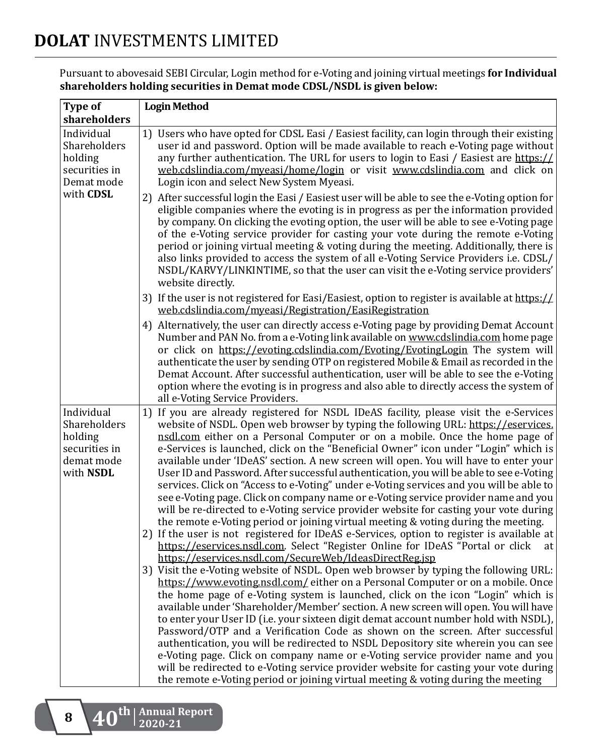Pursuant to abovesaid SEBI Circular, Login method for e-Voting and joining virtual meetings **for Individual shareholders holding securities in Demat mode CDSL/NSDL is given below:**

| Type of                                                                           | <b>Login Method</b>                                                                                                                                                                                                                                                                                                                                                                                                                                                                                                                                                                                                                                                                                                                                                                                                                                                                                                                                                                                                                                                                                                                                                                                                                                                                                                                                                                                                                                                                                                                                                                                                                                                                                                                                                                                                                                         |  |
|-----------------------------------------------------------------------------------|-------------------------------------------------------------------------------------------------------------------------------------------------------------------------------------------------------------------------------------------------------------------------------------------------------------------------------------------------------------------------------------------------------------------------------------------------------------------------------------------------------------------------------------------------------------------------------------------------------------------------------------------------------------------------------------------------------------------------------------------------------------------------------------------------------------------------------------------------------------------------------------------------------------------------------------------------------------------------------------------------------------------------------------------------------------------------------------------------------------------------------------------------------------------------------------------------------------------------------------------------------------------------------------------------------------------------------------------------------------------------------------------------------------------------------------------------------------------------------------------------------------------------------------------------------------------------------------------------------------------------------------------------------------------------------------------------------------------------------------------------------------------------------------------------------------------------------------------------------------|--|
| shareholders                                                                      |                                                                                                                                                                                                                                                                                                                                                                                                                                                                                                                                                                                                                                                                                                                                                                                                                                                                                                                                                                                                                                                                                                                                                                                                                                                                                                                                                                                                                                                                                                                                                                                                                                                                                                                                                                                                                                                             |  |
| Individual<br>Shareholders<br>holding<br>securities in<br>Demat mode<br>with CDSL | 1) Users who have opted for CDSL Easi / Easiest facility, can login through their existing<br>user id and password. Option will be made available to reach e-Voting page without<br>any further authentication. The URL for users to login to Easi / Easiest are https://<br>web.cdslindia.com/myeasi/home/login or visit www.cdslindia.com and click on<br>Login icon and select New System Myeasi.                                                                                                                                                                                                                                                                                                                                                                                                                                                                                                                                                                                                                                                                                                                                                                                                                                                                                                                                                                                                                                                                                                                                                                                                                                                                                                                                                                                                                                                        |  |
|                                                                                   | 2) After successful login the Easi / Easiest user will be able to see the e-Voting option for<br>eligible companies where the evoting is in progress as per the information provided<br>by company. On clicking the evoting option, the user will be able to see e-Voting page<br>of the e-Voting service provider for casting your vote during the remote e-Voting<br>period or joining virtual meeting & voting during the meeting. Additionally, there is<br>also links provided to access the system of all e-Voting Service Providers i.e. CDSL/<br>NSDL/KARVY/LINKINTIME, so that the user can visit the e-Voting service providers'<br>website directly.                                                                                                                                                                                                                                                                                                                                                                                                                                                                                                                                                                                                                                                                                                                                                                                                                                                                                                                                                                                                                                                                                                                                                                                             |  |
|                                                                                   | 3) If the user is not registered for Easi/Easiest, option to register is available at https://<br>web.cdslindia.com/myeasi/Registration/EasiRegistration                                                                                                                                                                                                                                                                                                                                                                                                                                                                                                                                                                                                                                                                                                                                                                                                                                                                                                                                                                                                                                                                                                                                                                                                                                                                                                                                                                                                                                                                                                                                                                                                                                                                                                    |  |
|                                                                                   | 4) Alternatively, the user can directly access e-Voting page by providing Demat Account<br>Number and PAN No. from a e-Voting link available on www.cdslindia.com home page<br>or click on https://evoting.cdslindia.com/Evoting/EvotingLogin The system will<br>authenticate the user by sending OTP on registered Mobile & Email as recorded in the<br>Demat Account. After successful authentication, user will be able to see the e-Voting<br>option where the evoting is in progress and also able to directly access the system of<br>all e-Voting Service Providers.                                                                                                                                                                                                                                                                                                                                                                                                                                                                                                                                                                                                                                                                                                                                                                                                                                                                                                                                                                                                                                                                                                                                                                                                                                                                                 |  |
| Individual<br>Shareholders<br>holding<br>securities in<br>demat mode<br>with NSDL | 1) If you are already registered for NSDL IDeAS facility, please visit the e-Services<br>website of NSDL. Open web browser by typing the following URL: https://eservices.<br>nsdl.com either on a Personal Computer or on a mobile. Once the home page of<br>e-Services is launched, click on the "Beneficial Owner" icon under "Login" which is<br>available under 'IDeAS' section. A new screen will open. You will have to enter your<br>User ID and Password. After successful authentication, you will be able to see e-Voting<br>services. Click on "Access to e-Voting" under e-Voting services and you will be able to<br>see e-Voting page. Click on company name or e-Voting service provider name and you<br>will be re-directed to e-Voting service provider website for casting your vote during<br>the remote e-Voting period or joining virtual meeting & voting during the meeting.<br>2) If the user is not registered for IDeAS e-Services, option to register is available at<br>https://eservices.nsdl.com. Select "Register Online for IDeAS "Portal or click<br>at<br>https://eservices.nsdl.com/SecureWeb/IdeasDirectReg.jsp<br>3) Visit the e-Voting website of NSDL. Open web browser by typing the following URL:<br>https://www.evoting.nsdl.com/either on a Personal Computer or on a mobile. Once<br>the home page of e-Voting system is launched, click on the icon "Login" which is<br>available under 'Shareholder/Member' section. A new screen will open. You will have<br>to enter your User ID (i.e. your sixteen digit demat account number hold with NSDL),<br>Password/OTP and a Verification Code as shown on the screen. After successful<br>authentication, you will be redirected to NSDL Depository site wherein you can see<br>e-Voting page. Click on company name or e-Voting service provider name and you |  |
|                                                                                   | will be redirected to e-Voting service provider website for casting your vote during<br>the remote e-Voting period or joining virtual meeting & voting during the meeting                                                                                                                                                                                                                                                                                                                                                                                                                                                                                                                                                                                                                                                                                                                                                                                                                                                                                                                                                                                                                                                                                                                                                                                                                                                                                                                                                                                                                                                                                                                                                                                                                                                                                   |  |

**<sup>8</sup> 40th Annual Report 2020-21**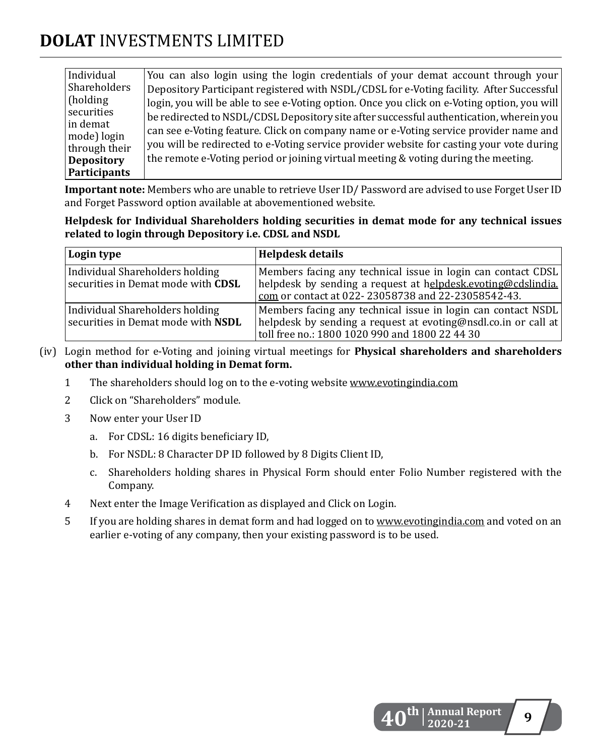| Individual                   | You can also login using the login credentials of your demat account through your           |
|------------------------------|---------------------------------------------------------------------------------------------|
| Shareholders                 | Depository Participant registered with NSDL/CDSL for e-Voting facility. After Successful    |
| (holding)                    | login, you will be able to see e-Voting option. Once you click on e-Voting option, you will |
| securities                   | be redirected to NSDL/CDSL Depository site after successful authentication, wherein you     |
| ∣in demat                    | can see e-Voting feature. Click on company name or e-Voting service provider name and       |
| mode) login<br>through their | you will be redirected to e-Voting service provider website for casting your vote during    |
| <b>Depository</b>            | the remote e-Voting period or joining virtual meeting & voting during the meeting.          |
| Participants                 |                                                                                             |

**Important note:** Members who are unable to retrieve User ID/ Password are advised to use Forget User ID and Forget Password option available at abovementioned website.

#### **Helpdesk for Individual Shareholders holding securities in demat mode for any technical issues related to login through Depository i.e. CDSL and NSDL**

| Login type                                                                   | Helpdesk details                                                                                                                                                                                 |
|------------------------------------------------------------------------------|--------------------------------------------------------------------------------------------------------------------------------------------------------------------------------------------------|
| <b>Individual Shareholders holding</b><br>securities in Demat mode with CDSL | Members facing any technical issue in login can contact CDSL<br>helpdesk by sending a request at helpdesk.evoting@cdslindia.<br>$\frac{1}{2}$ com or contact at 022-23058738 and 22-23058542-43. |
| Individual Shareholders holding<br>securities in Demat mode with NSDL        | Members facing any technical issue in login can contact NSDL<br>helpdesk by sending a request at evoting@nsdl.co.in or call at<br>toll free no.: 1800 1020 990 and 1800 22 44 30                 |

- (iv) Login method for e-Voting and joining virtual meetings for **Physical shareholders and shareholders other than individual holding in Demat form.**
	- 1 The shareholders should log on to the e-voting website www.evotingindia.com
	- 2 Click on "Shareholders" module.
	- 3 Now enter your User ID
		- a. For CDSL: 16 digits beneficiary ID,
		- b. For NSDL: 8 Character DP ID followed by 8 Digits Client ID,
		- c. Shareholders holding shares in Physical Form should enter Folio Number registered with the Company.
	- 4 Next enter the Image Verification as displayed and Click on Login.
	- 5 If you are holding shares in demat form and had logged on to www.evotingindia.com and voted on an earlier e-voting of any company, then your existing password is to be used.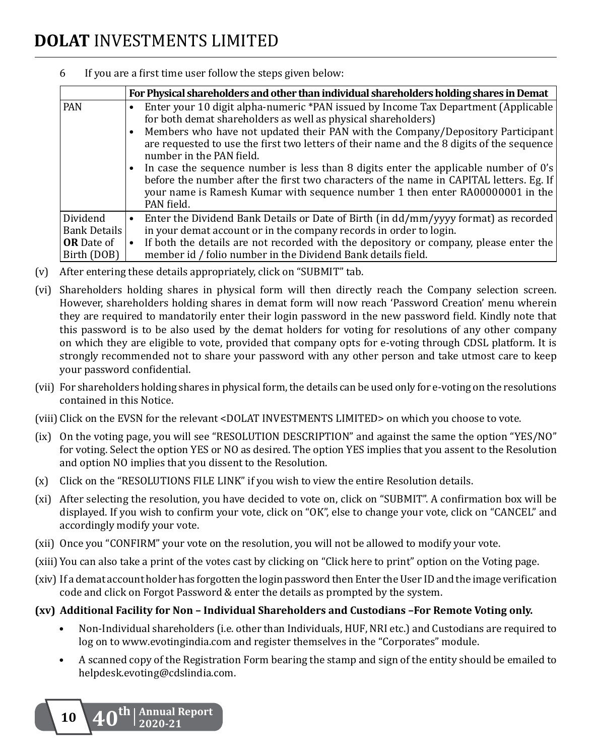|                                                                     | For Physical shareholders and other than individual shareholders holding shares in Demat                                                                                                                                                                                                                                                                                                                                                                                                                                                                                                                                                         |
|---------------------------------------------------------------------|--------------------------------------------------------------------------------------------------------------------------------------------------------------------------------------------------------------------------------------------------------------------------------------------------------------------------------------------------------------------------------------------------------------------------------------------------------------------------------------------------------------------------------------------------------------------------------------------------------------------------------------------------|
| <b>PAN</b>                                                          | Enter your 10 digit alpha-numeric *PAN issued by Income Tax Department (Applicable<br>for both demat shareholders as well as physical shareholders)<br>Members who have not updated their PAN with the Company/Depository Participant<br>are requested to use the first two letters of their name and the 8 digits of the sequence<br>number in the PAN field.<br>In case the sequence number is less than 8 digits enter the applicable number of 0's<br>before the number after the first two characters of the name in CAPITAL letters. Eg. If<br>your name is Ramesh Kumar with sequence number 1 then enter RA00000001 in the<br>PAN field. |
| Dividend<br><b>Bank Details</b><br><b>OR</b> Date of<br>Birth (DOB) | Enter the Dividend Bank Details or Date of Birth (in dd/mm/yyyy format) as recorded<br>$\bullet$<br>in your demat account or in the company records in order to login.<br>If both the details are not recorded with the depository or company, please enter the<br>member id / folio number in the Dividend Bank details field.                                                                                                                                                                                                                                                                                                                  |

6 If you are a first time user follow the steps given below:

- (v) After entering these details appropriately, click on "SUBMIT" tab.
- (vi) Shareholders holding shares in physical form will then directly reach the Company selection screen. However, shareholders holding shares in demat form will now reach 'Password Creation' menu wherein they are required to mandatorily enter their login password in the new password field. Kindly note that this password is to be also used by the demat holders for voting for resolutions of any other company on which they are eligible to vote, provided that company opts for e-voting through CDSL platform. It is strongly recommended not to share your password with any other person and take utmost care to keep your password confidential.
- (vii) For shareholders holding shares in physical form, the details can be used only for e-voting on the resolutions contained in this Notice.
- (viii) Click on the EVSN for the relevant <DOLAT INVESTMENTS LIMITED> on which you choose to vote.
- (ix) On the voting page, you will see "RESOLUTION DESCRIPTION" and against the same the option "YES/NO" for voting. Select the option YES or NO as desired. The option YES implies that you assent to the Resolution and option NO implies that you dissent to the Resolution.
- (x) Click on the "RESOLUTIONS FILE LINK" if you wish to view the entire Resolution details.
- (xi) After selecting the resolution, you have decided to vote on, click on "SUBMIT". A confirmation box will be displayed. If you wish to confirm your vote, click on "OK", else to change your vote, click on "CANCEL" and accordingly modify your vote.
- (xii) Once you "CONFIRM" your vote on the resolution, you will not be allowed to modify your vote.
- (xiii) You can also take a print of the votes cast by clicking on "Click here to print" option on the Voting page.
- (xiv) If a demat account holder has forgotten the login password then Enter the User ID and the image verification code and click on Forgot Password & enter the details as prompted by the system.

### **(xv) Additional Facility for Non – Individual Shareholders and Custodians –For Remote Voting only.**

- • Non-Individual shareholders (i.e. other than Individuals, HUF, NRI etc.) and Custodians are required to log on to www.evotingindia.com and register themselves in the "Corporates" module.
- • A scanned copy of the Registration Form bearing the stamp and sign of the entity should be emailed to helpdesk.evoting@cdslindia.com.

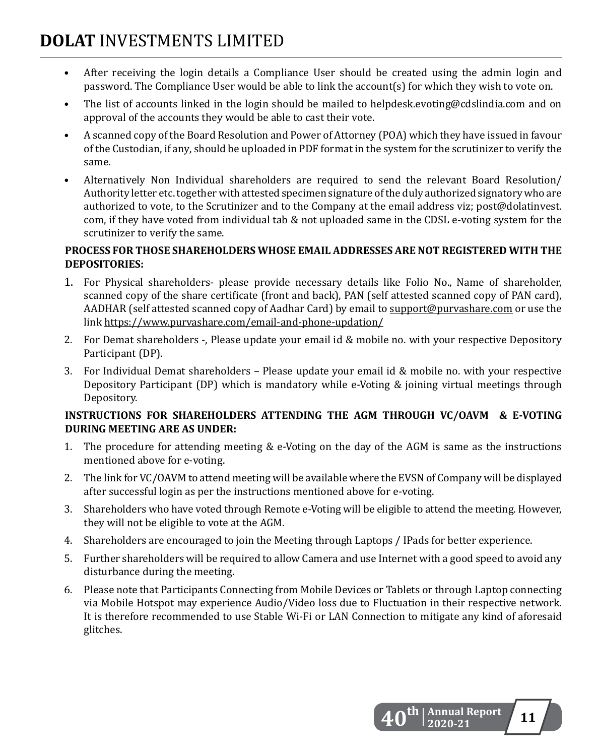- After receiving the login details a Compliance User should be created using the admin login and password. The Compliance User would be able to link the account(s) for which they wish to vote on.
- The list of accounts linked in the login should be mailed to helpdesk.evoting@cdslindia.com and on approval of the accounts they would be able to cast their vote.
- A scanned copy of the Board Resolution and Power of Attorney (POA) which they have issued in favour of the Custodian, if any, should be uploaded in PDF format in the system for the scrutinizer to verify the same.
- Alternatively Non Individual shareholders are required to send the relevant Board Resolution/ Authority letter etc. together with attested specimen signature of the duly authorized signatory who are authorized to vote, to the Scrutinizer and to the Company at the email address viz; post@dolatinvest. com, if they have voted from individual tab & not uploaded same in the CDSL e-voting system for the scrutinizer to verify the same.

### **PROCESS FOR THOSE SHAREHOLDERS WHOSE EMAIL ADDRESSES ARE NOT REGISTERED WITH THE DEPOSITORIES:**

- 1. For Physical shareholders- please provide necessary details like Folio No., Name of shareholder, scanned copy of the share certificate (front and back), PAN (self attested scanned copy of PAN card), AADHAR (self attested scanned copy of Aadhar Card) by email to support@purvashare.com or use the link https://www.purvashare.com/email-and-phone-updation/
- 2. For Demat shareholders -, Please update your email id & mobile no. with your respective Depository Participant (DP).
- 3. For Individual Demat shareholders Please update your email id  $&$  mobile no. with your respective Depository Participant (DP) which is mandatory while e-Voting & joining virtual meetings through Depository.

### **INSTRUCTIONS FOR SHAREHOLDERS ATTENDING THE AGM THROUGH VC/OAVM & E-VOTING DURING MEETING ARE AS UNDER:**

- 1. The procedure for attending meeting  $&e$  -Voting on the day of the AGM is same as the instructions mentioned above for e-voting.
- 2. The link for VC/OAVM to attend meeting will be available where the EVSN of Company will be displayed after successful login as per the instructions mentioned above for e-voting.
- 3. Shareholders who have voted through Remote e-Voting will be eligible to attend the meeting. However, they will not be eligible to vote at the AGM.
- 4. Shareholders are encouraged to join the Meeting through Laptops / IPads for better experience.
- 5. Further shareholders will be required to allow Camera and use Internet with a good speed to avoid any disturbance during the meeting.
- 6. Please note that Participants Connecting from Mobile Devices or Tablets or through Laptop connecting via Mobile Hotspot may experience Audio/Video loss due to Fluctuation in their respective network. It is therefore recommended to use Stable Wi-Fi or LAN Connection to mitigate any kind of aforesaid glitches.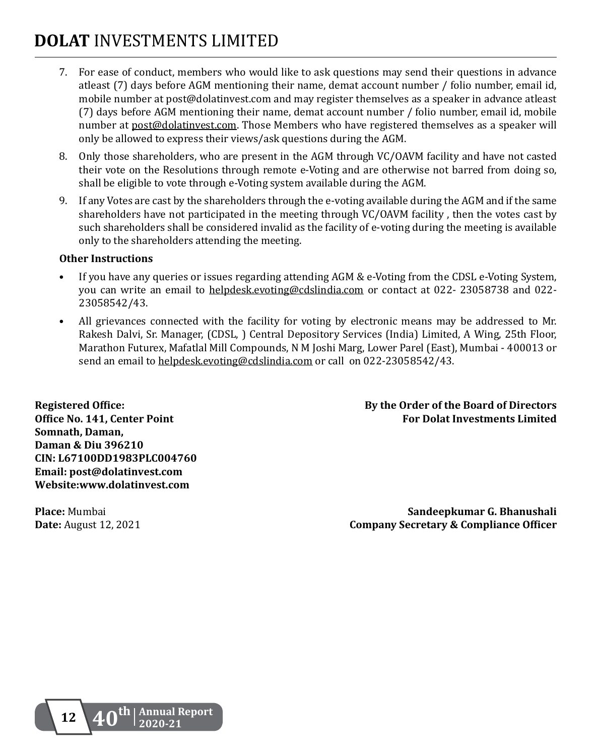- 7. For ease of conduct, members who would like to ask questions may send their questions in advance atleast (7) days before AGM mentioning their name, demat account number / folio number, email id, mobile number at post@dolatinvest.com and may register themselves as a speaker in advance atleast (7) days before AGM mentioning their name, demat account number / folio number, email id, mobile number at post@dolatinvest.com. Those Members who have registered themselves as a speaker will only be allowed to express their views/ask questions during the AGM.
- 8. Only those shareholders, who are present in the AGM through VC/OAVM facility and have not casted their vote on the Resolutions through remote e-Voting and are otherwise not barred from doing so, shall be eligible to vote through e-Voting system available during the AGM.
- 9. If any Votes are cast by the shareholders through the e-voting available during the AGM and if the same shareholders have not participated in the meeting through VC/OAVM facility , then the votes cast by such shareholders shall be considered invalid as the facility of e-voting during the meeting is available only to the shareholders attending the meeting.

#### **Other Instructions**

- If you have any queries or issues regarding attending AGM & e-Voting from the CDSL e-Voting System, you can write an email to helpdesk.evoting@cdslindia.com or contact at 022- 23058738 and 022- 23058542/43.
- • All grievances connected with the facility for voting by electronic means may be addressed to Mr. Rakesh Dalvi, Sr. Manager, (CDSL, ) Central Depository Services (India) Limited, A Wing, 25th Floor, Marathon Futurex, Mafatlal Mill Compounds, N M Joshi Marg, Lower Parel (East), Mumbai - 400013 or send an email to helpdesk.evoting@cdslindia.com or call on 022-23058542/43.

**Somnath, Daman, Daman & Diu 396210 CIN: L67100DD1983PLC004760 Email: post@dolatinvest.com Website:www.dolatinvest.com**

**Registered Office: By the Order of the Board of Directors Office No. 141, Center Point For Dolat Investments Limited**

**Place:** Mumbai **Sandeepkumar G. Bhanushali**<br> **Date:** August 12, 2021 **Company Secretary & Compliance Officer Company Secretary & Compliance Officer** 

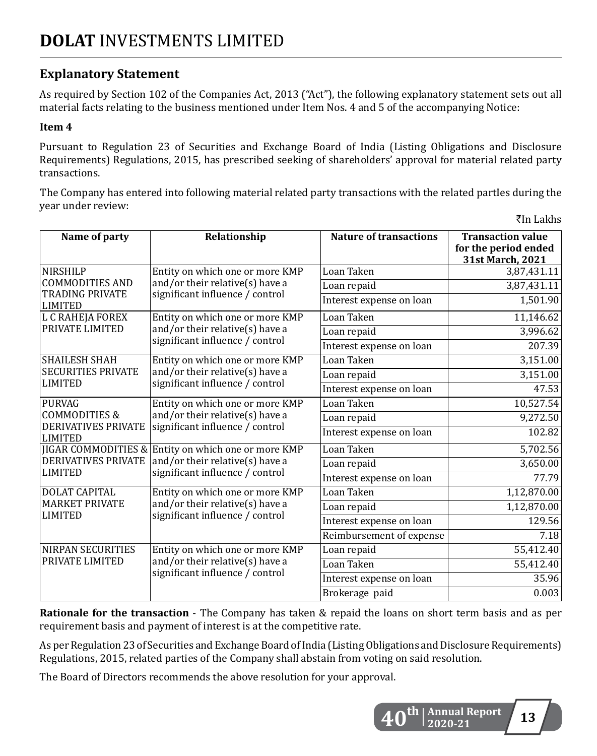## **Explanatory Statement**

As required by Section 102 of the Companies Act, 2013 ("Act"), the following explanatory statement sets out all material facts relating to the business mentioned under Item Nos. 4 and 5 of the accompanying Notice:

#### **Item 4**

Pursuant to Regulation 23 of Securities and Exchange Board of India (Listing Obligations and Disclosure Requirements) Regulations, 2015, has prescribed seeking of shareholders' approval for material related party transactions.

The Company has entered into following material related party transactions with the related partIes during the year under review: 

 $\bar{z}$ In Lakhs

| Name of party                                | Relationship                                                                                          | <b>Nature of transactions</b> | <b>Transaction value</b><br>for the period ended |
|----------------------------------------------|-------------------------------------------------------------------------------------------------------|-------------------------------|--------------------------------------------------|
|                                              |                                                                                                       |                               | 31st March, 2021                                 |
| <b>NIRSHILP</b>                              | Entity on which one or more KMP<br>and/or their relative(s) have a<br>significant influence / control | Loan Taken                    | 3,87,431.11                                      |
| <b>COMMODITIES AND</b>                       |                                                                                                       | Loan repaid                   | 3,87,431.11                                      |
| TRADING PRIVATE<br><b>LIMITED</b>            |                                                                                                       | Interest expense on loan      | 1,501.90                                         |
| L C RAHEJA FOREX                             | Entity on which one or more KMP                                                                       | Loan Taken                    | 11,146.62                                        |
| PRIVATE LIMITED                              | and/or their relative(s) have a<br>significant influence / control                                    | Loan repaid                   | 3,996.62                                         |
|                                              |                                                                                                       | Interest expense on loan      | 207.39                                           |
| <b>SHAILESH SHAH</b>                         | Entity on which one or more KMP                                                                       | Loan Taken                    | 3,151.00                                         |
| <b>SECURITIES PRIVATE</b>                    | and/or their relative(s) have a                                                                       | Loan repaid                   | 3,151.00                                         |
| <b>LIMITED</b>                               | significant influence / control                                                                       | Interest expense on loan      | 47.53                                            |
| PURVAG                                       | Entity on which one or more KMP                                                                       | Loan Taken                    | 10,527.54                                        |
| <b>COMMODITIES &amp;</b>                     | and/or their relative(s) have a                                                                       | Loan repaid                   | $\overline{9,}272.50$                            |
| <b>DERIVATIVES PRIVATE</b><br><b>LIMITED</b> | significant influence / control                                                                       | Interest expense on loan      | 102.82                                           |
|                                              | <b>JIGAR COMMODITIES &amp; Entity on which one or more KMP</b>                                        | Loan Taken                    | 5,702.56                                         |
| <b>DERIVATIVES PRIVATE</b>                   | and/or their relative(s) have a<br>significant influence / control                                    | Loan repaid                   | 3,650.00                                         |
| <b>LIMITED</b>                               |                                                                                                       | Interest expense on loan      | 77.79                                            |
| <b>DOLAT CAPITAL</b>                         | Entity on which one or more KMP                                                                       | Loan Taken                    | 1,12,870.00                                      |
| <b>MARKET PRIVATE</b>                        | and/or their relative(s) have a<br>significant influence / control                                    | Loan repaid                   | 1,12,870.00                                      |
| <b>LIMITED</b>                               |                                                                                                       | Interest expense on loan      | 129.56                                           |
|                                              |                                                                                                       | Reimbursement of expense      | 7.18                                             |
| <b>NIRPAN SECURITIES</b>                     | Entity on which one or more KMP                                                                       | Loan repaid                   | 55,412.40                                        |
| PRIVATE LIMITED                              | and/or their relative(s) have a<br>significant influence / control                                    | Loan Taken                    | 55,412.40                                        |
|                                              |                                                                                                       | Interest expense on loan      | 35.96                                            |
|                                              |                                                                                                       | Brokerage paid                | 0.003                                            |

**Rationale for the transaction** - The Company has taken & repaid the loans on short term basis and as per requirement basis and payment of interest is at the competitive rate.

As per Regulation 23 of Securities and Exchange Board of India (Listing Obligations and Disclosure Requirements) Regulations, 2015, related parties of the Company shall abstain from voting on said resolution.

The Board of Directors recommends the above resolution for your approval.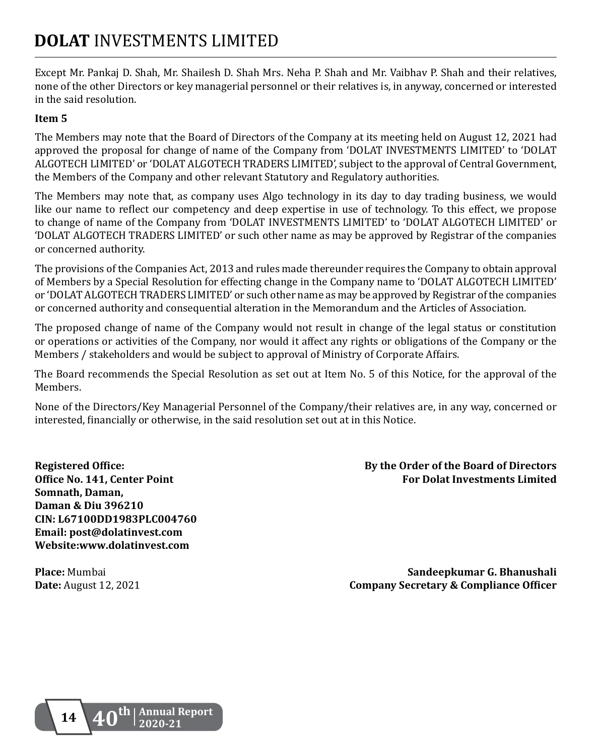Except Mr. Pankaj D. Shah, Mr. Shailesh D. Shah Mrs. Neha P. Shah and Mr. Vaibhav P. Shah and their relatives, none of the other Directors or key managerial personnel or their relatives is, in anyway, concerned or interested in the said resolution.

#### **Item 5**

The Members may note that the Board of Directors of the Company at its meeting held on August 12, 2021 had approved the proposal for change of name of the Company from 'DOLAT INVESTMENTS LIMITED' to 'DOLAT ALGOTECH LIMITED' or 'DOLAT ALGOTECH TRADERS LIMITED', subject to the approval of Central Government, the Members of the Company and other relevant Statutory and Regulatory authorities.

The Members may note that, as company uses Algo technology in its day to day trading business, we would like our name to reflect our competency and deep expertise in use of technology. To this effect, we propose to change of name of the Company from 'DOLAT INVESTMENTS LIMITED' to 'DOLAT ALGOTECH LIMITED' or 'DOLAT ALGOTECH TRADERS LIMITED' or such other name as may be approved by Registrar of the companies or concerned authority.

The provisions of the Companies Act, 2013 and rules made thereunder requires the Company to obtain approval of Members by a Special Resolution for effecting change in the Company name to 'DOLAT ALGOTECH LIMITED' or 'DOLAT ALGOTECHTRADERS LIMITED' or such other name as may be approved by Registrar ofthe companies or concerned authority and consequential alteration in the Memorandum and the Articles of Association.

The proposed change of name of the Company would not result in change of the legal status or constitution or operations or activities of the Company, nor would it affect any rights or obligations of the Company or the Members / stakeholders and would be subject to approval of Ministry of Corporate Affairs.

The Board recommends the Special Resolution as set out at Item No. 5 of this Notice, for the approval of the Members.

None of the Directors/Key Managerial Personnel of the Company/their relatives are, in any way, concerned or interested, financially or otherwise, in the said resolution set out at in this Notice.

**Somnath, Daman, Daman & Diu 396210 CIN: L67100DD1983PLC004760 Email: post@dolatinvest.com Website:www.dolatinvest.com**

**Registered Office: By the Order of the Board of Directors Office No. 141, Center Point For Dolat Investments Limited**

**Place:** Mumbai **Sandeepkumar G. Bhanushali**<br> **Date:** August 12, 2021 **Company Secretary & Compliance Officer Company Secretary & Compliance Officer**